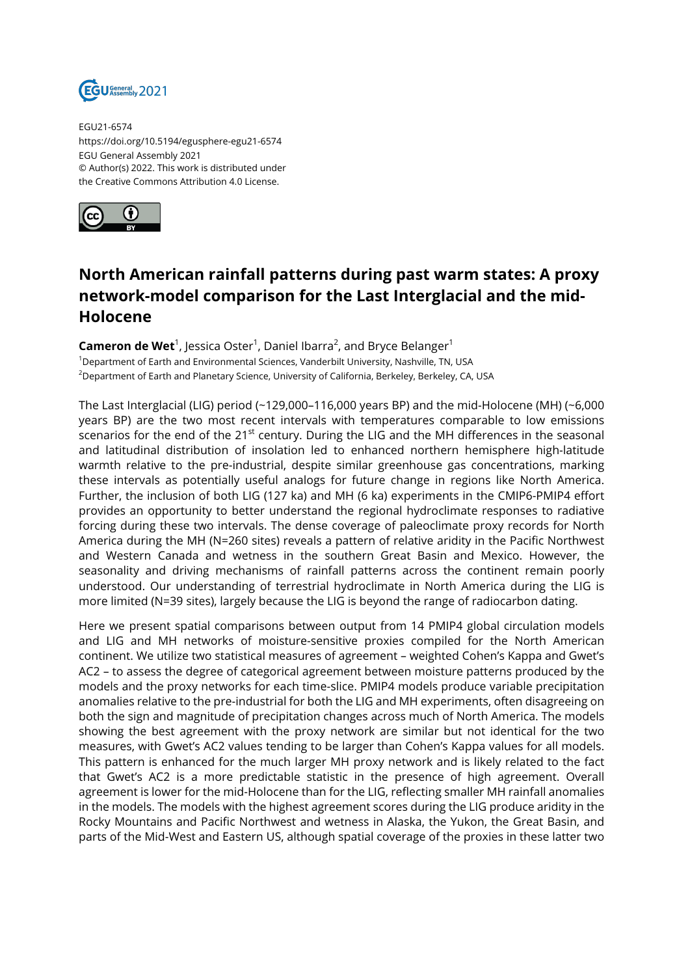

EGU21-6574 https://doi.org/10.5194/egusphere-egu21-6574 EGU General Assembly 2021 © Author(s) 2022. This work is distributed under the Creative Commons Attribution 4.0 License.



## **North American rainfall patterns during past warm states: A proxy network-model comparison for the Last Interglacial and the mid-Holocene**

**Cameron de Wet<sup>1</sup>, J**essica Oster<sup>1</sup>, Daniel Ibarra<sup>2</sup>, and Bryce Belanger<sup>1</sup> <sup>1</sup>Department of Earth and Environmental Sciences, Vanderbilt University, Nashville, TN, USA <sup>2</sup>Department of Earth and Planetary Science, University of California, Berkeley, Berkeley, CA, USA

The Last Interglacial (LIG) period (~129,000–116,000 years BP) and the mid-Holocene (MH) (~6,000 years BP) are the two most recent intervals with temperatures comparable to low emissions scenarios for the end of the 21<sup>st</sup> century. During the LIG and the MH differences in the seasonal and latitudinal distribution of insolation led to enhanced northern hemisphere high-latitude warmth relative to the pre-industrial, despite similar greenhouse gas concentrations, marking these intervals as potentially useful analogs for future change in regions like North America. Further, the inclusion of both LIG (127 ka) and MH (6 ka) experiments in the CMIP6-PMIP4 effort provides an opportunity to better understand the regional hydroclimate responses to radiative forcing during these two intervals. The dense coverage of paleoclimate proxy records for North America during the MH (N=260 sites) reveals a pattern of relative aridity in the Pacific Northwest and Western Canada and wetness in the southern Great Basin and Mexico. However, the seasonality and driving mechanisms of rainfall patterns across the continent remain poorly understood. Our understanding of terrestrial hydroclimate in North America during the LIG is more limited (N=39 sites), largely because the LIG is beyond the range of radiocarbon dating.

Here we present spatial comparisons between output from 14 PMIP4 global circulation models and LIG and MH networks of moisture-sensitive proxies compiled for the North American continent. We utilize two statistical measures of agreement – weighted Cohen's Kappa and Gwet's AC2 – to assess the degree of categorical agreement between moisture patterns produced by the models and the proxy networks for each time-slice. PMIP4 models produce variable precipitation anomalies relative to the pre-industrial for both the LIG and MH experiments, often disagreeing on both the sign and magnitude of precipitation changes across much of North America. The models showing the best agreement with the proxy network are similar but not identical for the two measures, with Gwet's AC2 values tending to be larger than Cohen's Kappa values for all models. This pattern is enhanced for the much larger MH proxy network and is likely related to the fact that Gwet's AC2 is a more predictable statistic in the presence of high agreement. Overall agreement is lower for the mid-Holocene than for the LIG, reflecting smaller MH rainfall anomalies in the models. The models with the highest agreement scores during the LIG produce aridity in the Rocky Mountains and Pacific Northwest and wetness in Alaska, the Yukon, the Great Basin, and parts of the Mid-West and Eastern US, although spatial coverage of the proxies in these latter two